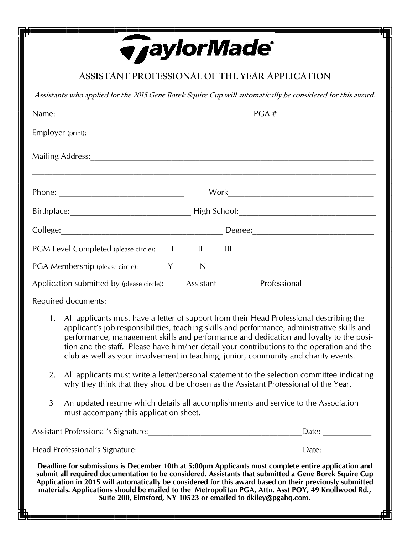## **ASSISTANT PROFESSIONAL OF THE YEAR APPLICATION**

*TaylorMade®* 

| Assistants who applied for the 2015 Gene Borek Squire Cup will automatically be considered for this award.                                                                                                                     |              |                    |  |
|--------------------------------------------------------------------------------------------------------------------------------------------------------------------------------------------------------------------------------|--------------|--------------------|--|
|                                                                                                                                                                                                                                |              | $\textsf{PGA}\;\#$ |  |
|                                                                                                                                                                                                                                |              |                    |  |
| Mailing Address: 1988 Mailing Address: 1988 Mailing Address: 1988 Mailing Address: 1988 Mail 1988 Mail 1988 Mail 1988 Mail 1988 Mail 1988 Mail 1988 Mail 1988 Mail 1988 Mail 1988 Mail 1988 Mail 1988 Mail 1988 Mail 1988 Mail |              |                    |  |
|                                                                                                                                                                                                                                |              |                    |  |
|                                                                                                                                                                                                                                |              |                    |  |
| College: College:                                                                                                                                                                                                              |              |                    |  |
| <b>PGM Level Completed (please circle):</b> 1                                                                                                                                                                                  |              | Ш                  |  |
| PGA Membership (please circle): Y                                                                                                                                                                                              | $\mathsf{N}$ |                    |  |
| Application submitted by (please circle): Assistant                                                                                                                                                                            |              | Professional       |  |

Required documents:

- 1. All applicants must have a letter of support from their Head Professional describing the applicant's job responsibilities, teaching skills and performance, administrative skills and performance, management skills and performance and dedication and loyalty to the position and the staff. Please have him/her detail your contributions to the operation and the club as well as your involvement in teaching, junior, community and charity events.
- 2. All applicants must write a letter/personal statement to the selection committee indicating why they think that they should be chosen as the Assistant Professional of the Year.
- 3 An updated resume which details all accomplishments and service to the Association must accompany this application sheet.

| <b>Assistant Professional's Signature:</b> | Date: |
|--------------------------------------------|-------|
| Head Professional's Signature:             | Date: |

**Deadline for submissions is December 10th at 5:00pm Applicants must complete entire application and submit all required documentation to be considered. Assistants that submitted a Gene Borek Squire Cup Application in 2015 will automatically be considered for this award based on their previously submitted materials. Applications should be mailed to the Metropolitan PGA, Attn. Asst POY, 49 Knollwood Rd., Suite 200, Elmsford, NY 10523 or emailed to dkiley@pgahq.com.**